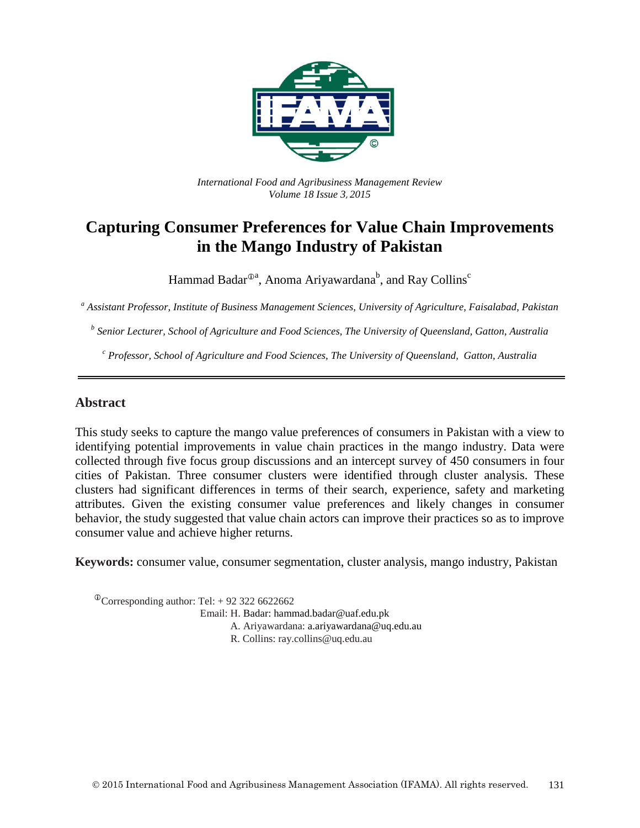

*International Food and Agribusiness Management Review Volume 18 Issue 3*, *2015*

# **Capturing Consumer Preferences for Value Chain Improvements in the Mango Industry of Pakistan**

Hammad Badar $^{\oplus$ a, Anoma Ariyawardana $^{\rm b}$ , and Ray Collins $^{\rm c}$ 

*<sup>a</sup> Assistant Professor, Institute of Business Management Sciences, University of Agriculture, Faisalabad, Pakistan*

*<sup>b</sup> Senior Lecturer, School of Agriculture and Food Sciences, The University of Queensland, Gatton, Australia*

*<sup>c</sup> Professor, School of Agriculture and Food Sciences, The University of Queensland, Gatton, Australia*

#### **Abstract**

This study seeks to capture the mango value preferences of consumers in Pakistan with a view to identifying potential improvements in value chain practices in the mango industry. Data were collected through five focus group discussions and an intercept survey of 450 consumers in four cities of Pakistan. Three consumer clusters were identified through cluster analysis. These clusters had significant differences in terms of their search, experience, safety and marketing attributes. Given the existing consumer value preferences and likely changes in consumer behavior, the study suggested that value chain actors can improve their practices so as to improve consumer value and achieve higher returns.

**Keywords:** consumer value, consumer segmentation, cluster analysis, mango industry, Pakistan

 $\textcirc{}$ Corresponding author: Tel: +92 322 6622662 Email: H. Badar: hammad.badar@uaf.edu.pk A. Ariyawardana: a.ariyawardana@uq.edu.au R. Collins: ray.collins@uq.edu.au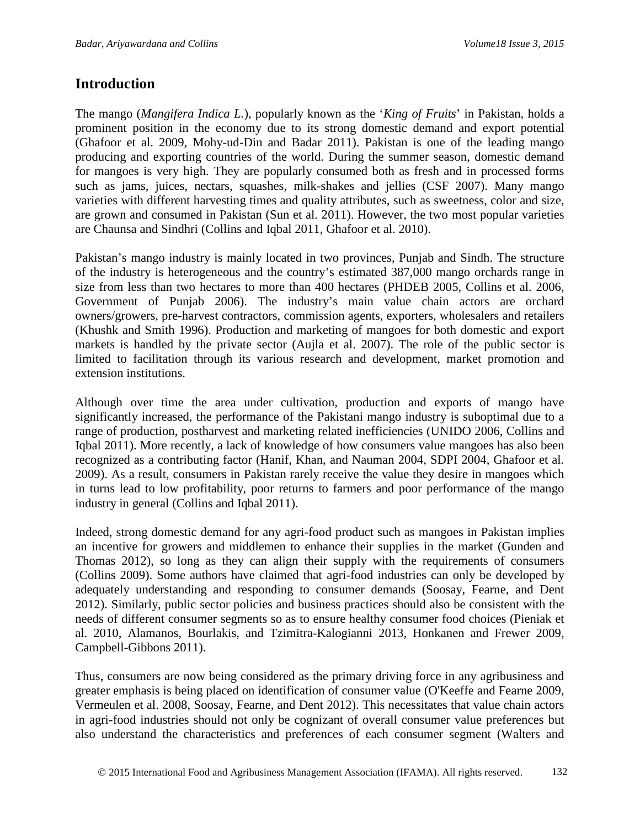### **Introduction**

The mango (*Mangifera Indica L.*), popularly known as the '*King of Fruits*' in Pakistan, holds a prominent position in the economy due to its strong domestic demand and export potential (Ghafoor et al. 2009, Mohy-ud-Din and Badar 2011). Pakistan is one of the leading mango producing and exporting countries of the world. During the summer season, domestic demand for mangoes is very high. They are popularly consumed both as fresh and in processed forms such as jams, juices, nectars, squashes, milk-shakes and jellies (CSF 2007). Many mango varieties with different harvesting times and quality attributes, such as sweetness, color and size, are grown and consumed in Pakistan (Sun et al. 2011). However, the two most popular varieties are Chaunsa and Sindhri (Collins and Iqbal 2011, Ghafoor et al. 2010).

Pakistan's mango industry is mainly located in two provinces, Punjab and Sindh. The structure of the industry is heterogeneous and the country's estimated 387,000 mango orchards range in size from less than two hectares to more than 400 hectares (PHDEB 2005, Collins et al. 2006, Government of Punjab 2006). The industry's main value chain actors are orchard owners/growers, pre-harvest contractors, commission agents, exporters, wholesalers and retailers (Khushk and Smith 1996). Production and marketing of mangoes for both domestic and export markets is handled by the private sector (Aujla et al. 2007). The role of the public sector is limited to facilitation through its various research and development, market promotion and extension institutions.

Although over time the area under cultivation, production and exports of mango have significantly increased, the performance of the Pakistani mango industry is suboptimal due to a range of production, postharvest and marketing related inefficiencies (UNIDO 2006, Collins and Iqbal 2011). More recently, a lack of knowledge of how consumers value mangoes has also been recognized as a contributing factor (Hanif, Khan, and Nauman 2004, SDPI 2004, Ghafoor et al. 2009). As a result, consumers in Pakistan rarely receive the value they desire in mangoes which in turns lead to low profitability, poor returns to farmers and poor performance of the mango industry in general (Collins and Iqbal 2011).

Indeed, strong domestic demand for any agri-food product such as mangoes in Pakistan implies an incentive for growers and middlemen to enhance their supplies in the market (Gunden and Thomas 2012), so long as they can align their supply with the requirements of consumers (Collins 2009). Some authors have claimed that agri-food industries can only be developed by adequately understanding and responding to consumer demands (Soosay, Fearne, and Dent 2012). Similarly, public sector policies and business practices should also be consistent with the needs of different consumer segments so as to ensure healthy consumer food choices (Pieniak et al. 2010, Alamanos, Bourlakis, and Tzimitra-Kalogianni 2013, Honkanen and Frewer 2009, Campbell-Gibbons 2011).

Thus, consumers are now being considered as the primary driving force in any agribusiness and greater emphasis is being placed on identification of consumer value (O'Keeffe and Fearne 2009, Vermeulen et al. 2008, Soosay, Fearne, and Dent 2012). This necessitates that value chain actors in agri-food industries should not only be cognizant of overall consumer value preferences but also understand the characteristics and preferences of each consumer segment (Walters and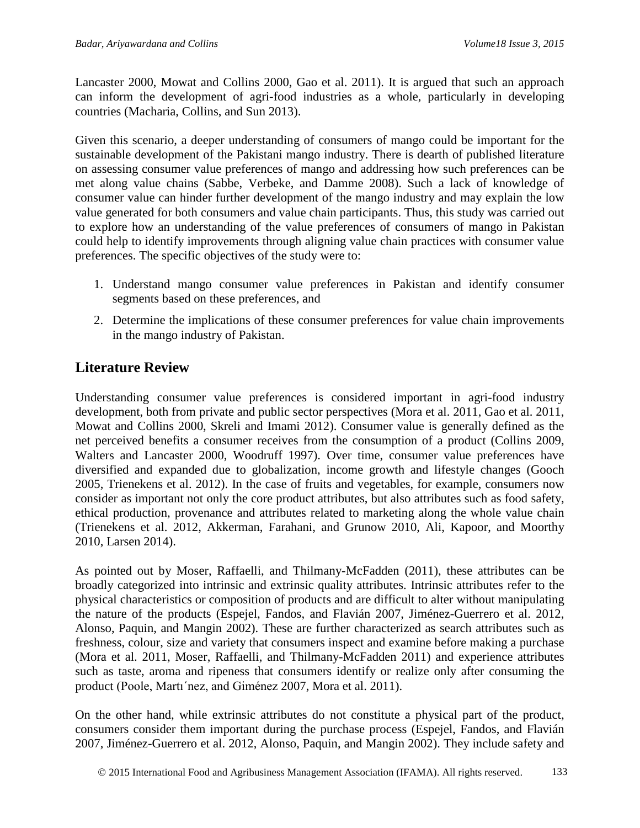Lancaster 2000, Mowat and Collins 2000, Gao et al. 2011). It is argued that such an approach can inform the development of agri-food industries as a whole, particularly in developing countries (Macharia, Collins, and Sun 2013).

Given this scenario, a deeper understanding of consumers of mango could be important for the sustainable development of the Pakistani mango industry. There is dearth of published literature on assessing consumer value preferences of mango and addressing how such preferences can be met along value chains (Sabbe, Verbeke, and Damme 2008). Such a lack of knowledge of consumer value can hinder further development of the mango industry and may explain the low value generated for both consumers and value chain participants. Thus, this study was carried out to explore how an understanding of the value preferences of consumers of mango in Pakistan could help to identify improvements through aligning value chain practices with consumer value preferences. The specific objectives of the study were to:

- 1. Understand mango consumer value preferences in Pakistan and identify consumer segments based on these preferences, and
- 2. Determine the implications of these consumer preferences for value chain improvements in the mango industry of Pakistan.

# **Literature Review**

Understanding consumer value preferences is considered important in agri-food industry development, both from private and public sector perspectives (Mora et al. 2011, Gao et al. 2011, Mowat and Collins 2000, Skreli and Imami 2012). Consumer value is generally defined as the net perceived benefits a consumer receives from the consumption of a product (Collins 2009, Walters and Lancaster 2000, Woodruff 1997). Over time, consumer value preferences have diversified and expanded due to globalization, income growth and lifestyle changes (Gooch 2005, Trienekens et al. 2012). In the case of fruits and vegetables, for example, consumers now consider as important not only the core product attributes, but also attributes such as food safety, ethical production, provenance and attributes related to marketing along the whole value chain (Trienekens et al. 2012, Akkerman, Farahani, and Grunow 2010, Ali, Kapoor, and Moorthy 2010, Larsen 2014).

As pointed out by Moser, Raffaelli, and Thilmany-McFadden (2011), these attributes can be broadly categorized into intrinsic and extrinsic quality attributes. Intrinsic attributes refer to the physical characteristics or composition of products and are difficult to alter without manipulating the nature of the products (Espejel, Fandos, and Flavián 2007, Jiménez-Guerrero et al. 2012, Alonso, Paquin, and Mangin 2002). These are further characterized as search attributes such as freshness, colour, size and variety that consumers inspect and examine before making a purchase (Mora et al. 2011, Moser, Raffaelli, and Thilmany-McFadden 2011) and experience attributes such as taste, aroma and ripeness that consumers identify or realize only after consuming the product (Poole, Martı´nez, and Giménez 2007, Mora et al. 2011).

On the other hand, while extrinsic attributes do not constitute a physical part of the product, consumers consider them important during the purchase process (Espejel, Fandos, and Flavián 2007, Jiménez-Guerrero et al. 2012, Alonso, Paquin, and Mangin 2002). They include safety and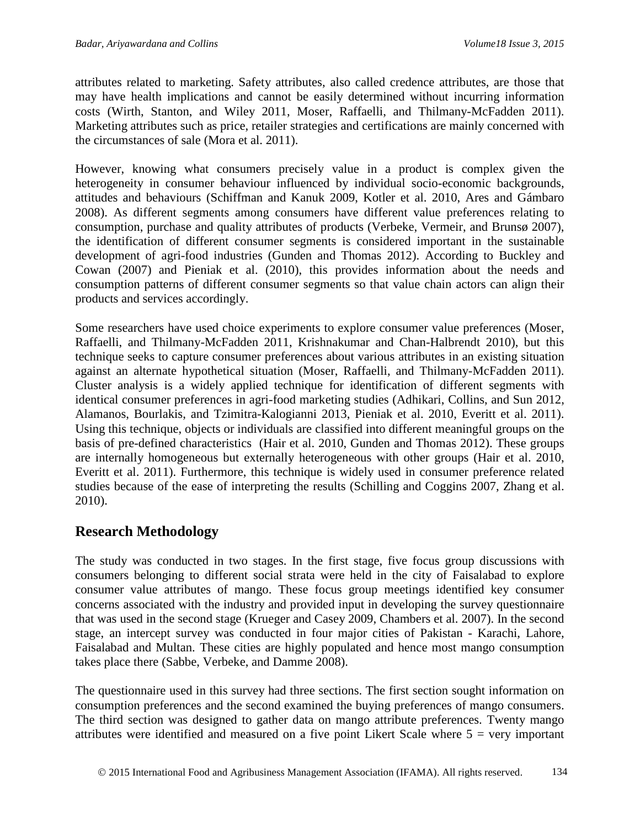attributes related to marketing. Safety attributes, also called credence attributes, are those that may have health implications and cannot be easily determined without incurring information costs (Wirth, Stanton, and Wiley 2011, Moser, Raffaelli, and Thilmany-McFadden 2011). Marketing attributes such as price, retailer strategies and certifications are mainly concerned with the circumstances of sale (Mora et al. 2011).

However, knowing what consumers precisely value in a product is complex given the heterogeneity in consumer behaviour influenced by individual socio-economic backgrounds, attitudes and behaviours (Schiffman and Kanuk 2009, Kotler et al. 2010, Ares and Gámbaro 2008). As different segments among consumers have different value preferences relating to consumption, purchase and quality attributes of products (Verbeke, Vermeir, and Brunsø 2007), the identification of different consumer segments is considered important in the sustainable development of agri-food industries (Gunden and Thomas 2012). According to Buckley and Cowan (2007) and Pieniak et al. (2010), this provides information about the needs and consumption patterns of different consumer segments so that value chain actors can align their products and services accordingly.

Some researchers have used choice experiments to explore consumer value preferences (Moser, Raffaelli, and Thilmany-McFadden 2011, Krishnakumar and Chan-Halbrendt 2010), but this technique seeks to capture consumer preferences about various attributes in an existing situation against an alternate hypothetical situation (Moser, Raffaelli, and Thilmany-McFadden 2011). Cluster analysis is a widely applied technique for identification of different segments with identical consumer preferences in agri-food marketing studies (Adhikari, Collins, and Sun 2012, Alamanos, Bourlakis, and Tzimitra-Kalogianni 2013, Pieniak et al. 2010, Everitt et al. 2011). Using this technique, objects or individuals are classified into different meaningful groups on the basis of pre-defined characteristics (Hair et al. 2010, Gunden and Thomas 2012). These groups are internally homogeneous but externally heterogeneous with other groups (Hair et al. 2010, Everitt et al. 2011). Furthermore, this technique is widely used in consumer preference related studies because of the ease of interpreting the results (Schilling and Coggins 2007, Zhang et al. 2010).

# **Research Methodology**

The study was conducted in two stages. In the first stage, five focus group discussions with consumers belonging to different social strata were held in the city of Faisalabad to explore consumer value attributes of mango. These focus group meetings identified key consumer concerns associated with the industry and provided input in developing the survey questionnaire that was used in the second stage (Krueger and Casey 2009, Chambers et al. 2007). In the second stage, an intercept survey was conducted in four major cities of Pakistan - Karachi, Lahore, Faisalabad and Multan. These cities are highly populated and hence most mango consumption takes place there (Sabbe, Verbeke, and Damme 2008).

The questionnaire used in this survey had three sections. The first section sought information on consumption preferences and the second examined the buying preferences of mango consumers. The third section was designed to gather data on mango attribute preferences. Twenty mango attributes were identified and measured on a five point Likert Scale where  $5 = \text{very important}$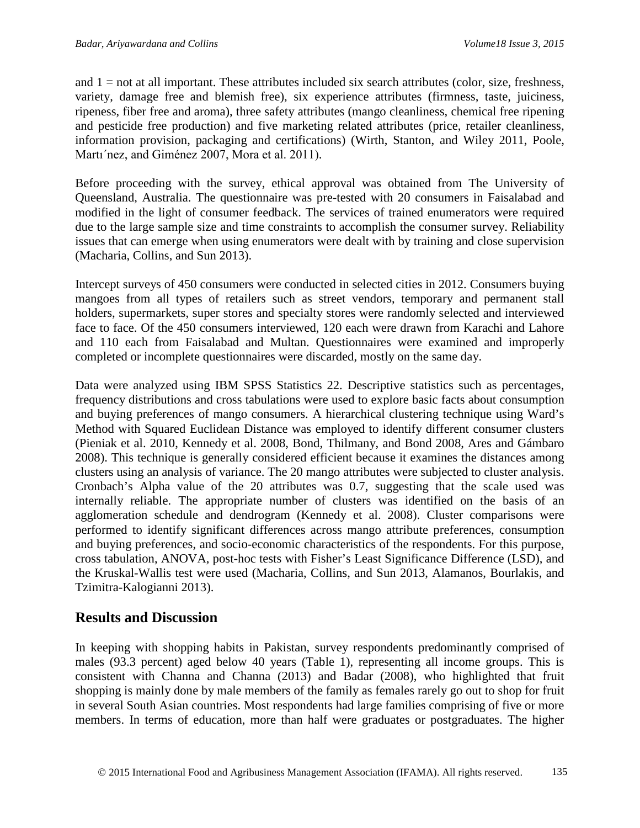and  $1 =$  not at all important. These attributes included six search attributes (color, size, freshness, variety, damage free and blemish free), six experience attributes (firmness, taste, juiciness, ripeness, fiber free and aroma), three safety attributes (mango cleanliness, chemical free ripening and pesticide free production) and five marketing related attributes (price, retailer cleanliness, information provision, packaging and certifications) (Wirth, Stanton, and Wiley 2011, Poole, Martı´nez, and Giménez 2007, Mora et al. 2011).

Before proceeding with the survey, ethical approval was obtained from The University of Queensland, Australia. The questionnaire was pre-tested with 20 consumers in Faisalabad and modified in the light of consumer feedback. The services of trained enumerators were required due to the large sample size and time constraints to accomplish the consumer survey. Reliability issues that can emerge when using enumerators were dealt with by training and close supervision (Macharia, Collins, and Sun 2013).

Intercept surveys of 450 consumers were conducted in selected cities in 2012. Consumers buying mangoes from all types of retailers such as street vendors, temporary and permanent stall holders, supermarkets, super stores and specialty stores were randomly selected and interviewed face to face. Of the 450 consumers interviewed, 120 each were drawn from Karachi and Lahore and 110 each from Faisalabad and Multan. Questionnaires were examined and improperly completed or incomplete questionnaires were discarded, mostly on the same day.

Data were analyzed using IBM SPSS Statistics 22. Descriptive statistics such as percentages, frequency distributions and cross tabulations were used to explore basic facts about consumption and buying preferences of mango consumers. A hierarchical clustering technique using Ward's Method with Squared Euclidean Distance was employed to identify different consumer clusters (Pieniak et al. 2010, Kennedy et al. 2008, Bond, Thilmany, and Bond 2008, Ares and Gámbaro 2008). This technique is generally considered efficient because it examines the distances among clusters using an analysis of variance. The 20 mango attributes were subjected to cluster analysis. Cronbach's Alpha value of the 20 attributes was 0.7, suggesting that the scale used was internally reliable. The appropriate number of clusters was identified on the basis of an agglomeration schedule and dendrogram (Kennedy et al. 2008). Cluster comparisons were performed to identify significant differences across mango attribute preferences, consumption and buying preferences, and socio-economic characteristics of the respondents. For this purpose, cross tabulation, ANOVA, post-hoc tests with Fisher's Least Significance Difference (LSD), and the Kruskal-Wallis test were used (Macharia, Collins, and Sun 2013, Alamanos, Bourlakis, and Tzimitra-Kalogianni 2013).

### **Results and Discussion**

In keeping with shopping habits in Pakistan, survey respondents predominantly comprised of males (93.3 percent) aged below 40 years (Table 1), representing all income groups. This is consistent with Channa and Channa (2013) and Badar (2008), who highlighted that fruit shopping is mainly done by male members of the family as females rarely go out to shop for fruit in several South Asian countries. Most respondents had large families comprising of five or more members. In terms of education, more than half were graduates or postgraduates. The higher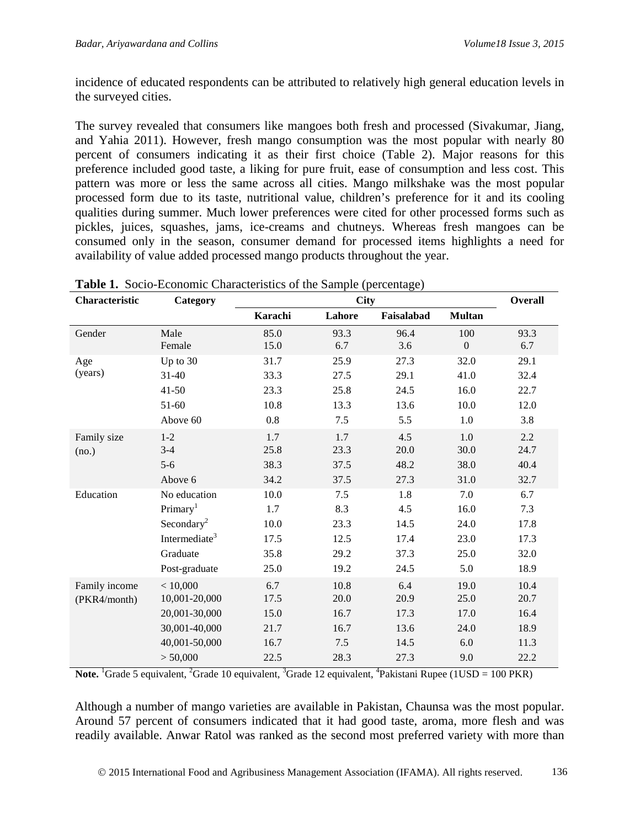incidence of educated respondents can be attributed to relatively high general education levels in the surveyed cities.

The survey revealed that consumers like mangoes both fresh and processed (Sivakumar, Jiang, and Yahia 2011). However, fresh mango consumption was the most popular with nearly 80 percent of consumers indicating it as their first choice (Table 2). Major reasons for this preference included good taste, a liking for pure fruit, ease of consumption and less cost. This pattern was more or less the same across all cities. Mango milkshake was the most popular processed form due to its taste, nutritional value, children's preference for it and its cooling qualities during summer. Much lower preferences were cited for other processed forms such as pickles, juices, squashes, jams, ice-creams and chutneys. Whereas fresh mangoes can be consumed only in the season, consumer demand for processed items highlights a need for availability of value added processed mango products throughout the year.

| Characteristic | Category                  |         | <b>Overall</b> |            |                  |      |
|----------------|---------------------------|---------|----------------|------------|------------------|------|
|                |                           | Karachi | Lahore         | Faisalabad | <b>Multan</b>    |      |
| Gender         | Male                      | 85.0    | 93.3           | 96.4       | 100              | 93.3 |
|                | Female                    | 15.0    | 6.7            | 3.6        | $\boldsymbol{0}$ | 6.7  |
| Age            | Up to 30                  | 31.7    | 25.9           | 27.3       | 32.0             | 29.1 |
| (years)        | $31 - 40$                 | 33.3    | 27.5           | 29.1       | 41.0             | 32.4 |
|                | $41 - 50$                 | 23.3    | 25.8           | 24.5       | 16.0             | 22.7 |
|                | 51-60                     | 10.8    | 13.3           | 13.6       | $10.0\,$         | 12.0 |
|                | Above 60                  | 0.8     | $7.5$          | 5.5        | 1.0              | 3.8  |
| Family size    | $1 - 2$                   | 1.7     | 1.7            | 4.5        | 1.0              | 2.2  |
| (no.)          | $3-4$                     | 25.8    | 23.3           | $20.0\,$   | 30.0             | 24.7 |
|                | $5-6$                     | 38.3    | 37.5           | 48.2       | 38.0             | 40.4 |
|                | Above 6                   | 34.2    | 37.5           | 27.3       | 31.0             | 32.7 |
| Education      | No education              | 10.0    | 7.5            | 1.8        | 7.0              | 6.7  |
|                | Primary <sup>1</sup>      | 1.7     | 8.3            | 4.5        | 16.0             | 7.3  |
|                | Secondary <sup>2</sup>    | 10.0    | 23.3           | 14.5       | 24.0             | 17.8 |
|                | Intermediate <sup>3</sup> | 17.5    | 12.5           | 17.4       | 23.0             | 17.3 |
|                | Graduate                  | 35.8    | 29.2           | 37.3       | 25.0             | 32.0 |
|                | Post-graduate             | 25.0    | 19.2           | 24.5       | 5.0              | 18.9 |
| Family income  | < 10,000                  | 6.7     | 10.8           | 6.4        | 19.0             | 10.4 |
| (PKR4/month)   | 10,001-20,000             | 17.5    | 20.0           | 20.9       | 25.0             | 20.7 |
|                | 20,001-30,000             | 15.0    | 16.7           | 17.3       | 17.0             | 16.4 |
|                | 30,001-40,000             | 21.7    | 16.7           | 13.6       | 24.0             | 18.9 |
|                | 40,001-50,000             | 16.7    | 7.5            | 14.5       | 6.0              | 11.3 |
|                | > 50,000                  | 22.5    | 28.3           | 27.3       | 9.0              | 22.2 |

**Table 1.** Socio-Economic Characteristics of the Sample (percentage)

Note. <sup>1</sup>Grade 5 equivalent, <sup>2</sup>Grade 10 equivalent, <sup>3</sup>Grade 12 equivalent, <sup>4</sup>Pakistani Rupee (1USD = 100 PKR)

Although a number of mango varieties are available in Pakistan, Chaunsa was the most popular. Around 57 percent of consumers indicated that it had good taste, aroma, more flesh and was readily available. Anwar Ratol was ranked as the second most preferred variety with more than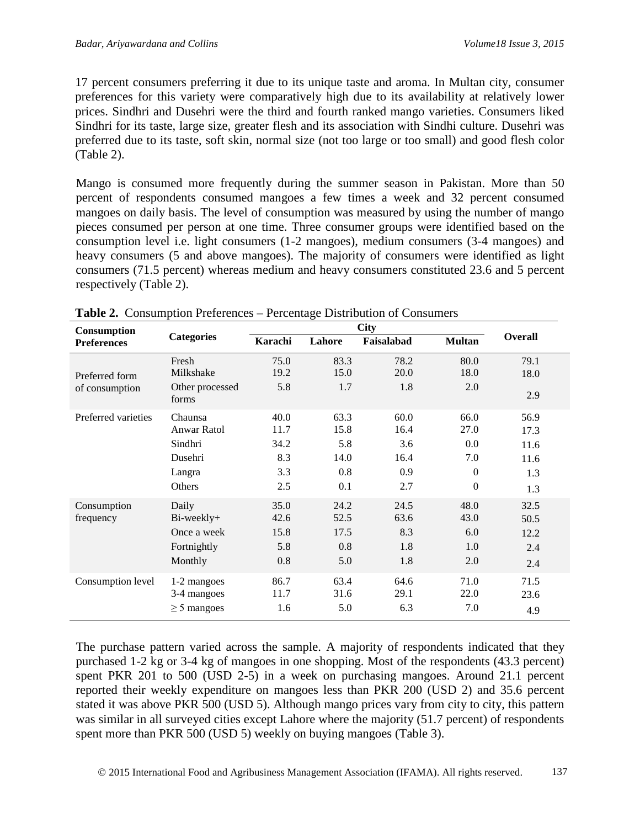17 percent consumers preferring it due to its unique taste and aroma. In Multan city, consumer preferences for this variety were comparatively high due to its availability at relatively lower prices. Sindhri and Dusehri were the third and fourth ranked mango varieties. Consumers liked Sindhri for its taste, large size, greater flesh and its association with Sindhi culture. Dusehri was preferred due to its taste, soft skin, normal size (not too large or too small) and good flesh color (Table 2).

Mango is consumed more frequently during the summer season in Pakistan. More than 50 percent of respondents consumed mangoes a few times a week and 32 percent consumed mangoes on daily basis. The level of consumption was measured by using the number of mango pieces consumed per person at one time. Three consumer groups were identified based on the consumption level i.e. light consumers (1-2 mangoes), medium consumers (3-4 mangoes) and heavy consumers (5 and above mangoes). The majority of consumers were identified as light consumers (71.5 percent) whereas medium and heavy consumers constituted 23.6 and 5 percent respectively (Table 2).

| Consumption                      |                                                                         |                                           |                                           |                                           |                                                                  |                                            |
|----------------------------------|-------------------------------------------------------------------------|-------------------------------------------|-------------------------------------------|-------------------------------------------|------------------------------------------------------------------|--------------------------------------------|
| <b>Preferences</b>               | <b>Categories</b>                                                       | Karachi                                   | Lahore                                    | Faisalabad                                | <b>Multan</b>                                                    | <b>Overall</b>                             |
| Preferred form<br>of consumption | Fresh<br>Milkshake<br>Other processed<br>forms                          | 75.0<br>19.2<br>5.8                       | 83.3<br>15.0<br>1.7                       | 78.2<br>20.0<br>1.8                       | 80.0<br>18.0<br>2.0                                              | 79.1<br>18.0<br>2.9                        |
| Preferred varieties              | Chaunsa<br><b>Anwar Ratol</b><br>Sindhri<br>Dusehri<br>Langra<br>Others | 40.0<br>11.7<br>34.2<br>8.3<br>3.3<br>2.5 | 63.3<br>15.8<br>5.8<br>14.0<br>0.8<br>0.1 | 60.0<br>16.4<br>3.6<br>16.4<br>0.9<br>2.7 | 66.0<br>27.0<br>0.0<br>7.0<br>$\overline{0}$<br>$\boldsymbol{0}$ | 56.9<br>17.3<br>11.6<br>11.6<br>1.3<br>1.3 |
| Consumption<br>frequency         | Daily<br>Bi-weekly+<br>Once a week<br>Fortnightly<br>Monthly            | 35.0<br>42.6<br>15.8<br>5.8<br>0.8        | 24.2<br>52.5<br>17.5<br>0.8<br>5.0        | 24.5<br>63.6<br>8.3<br>1.8<br>1.8         | 48.0<br>43.0<br>6.0<br>1.0<br>2.0                                | 32.5<br>50.5<br>12.2<br>2.4<br>2.4         |
| Consumption level                | 1-2 mangoes<br>3-4 mangoes<br>$\geq$ 5 mangoes                          | 86.7<br>11.7<br>1.6                       | 63.4<br>31.6<br>5.0                       | 64.6<br>29.1<br>6.3                       | 71.0<br>22.0<br>7.0                                              | 71.5<br>23.6<br>4.9                        |

**Table 2.** Consumption Preferences – Percentage Distribution of Consumers

The purchase pattern varied across the sample. A majority of respondents indicated that they purchased 1-2 kg or 3-4 kg of mangoes in one shopping. Most of the respondents (43.3 percent) spent PKR 201 to 500 (USD 2-5) in a week on purchasing mangoes. Around 21.1 percent reported their weekly expenditure on mangoes less than PKR 200 (USD 2) and 35.6 percent stated it was above PKR 500 (USD 5). Although mango prices vary from city to city, this pattern was similar in all surveyed cities except Lahore where the majority (51.7 percent) of respondents spent more than PKR 500 (USD 5) weekly on buying mangoes (Table 3).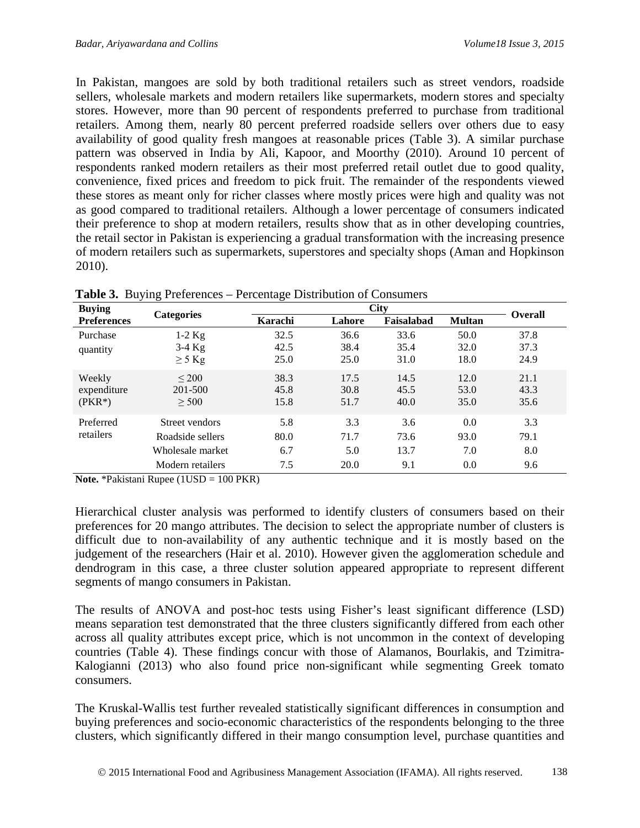In Pakistan, mangoes are sold by both traditional retailers such as street vendors, roadside sellers, wholesale markets and modern retailers like supermarkets, modern stores and specialty stores. However, more than 90 percent of respondents preferred to purchase from traditional retailers. Among them, nearly 80 percent preferred roadside sellers over others due to easy availability of good quality fresh mangoes at reasonable prices (Table 3). A similar purchase pattern was observed in India by Ali, Kapoor, and Moorthy (2010). Around 10 percent of respondents ranked modern retailers as their most preferred retail outlet due to good quality, convenience, fixed prices and freedom to pick fruit. The remainder of the respondents viewed these stores as meant only for richer classes where mostly prices were high and quality was not as good compared to traditional retailers. Although a lower percentage of consumers indicated their preference to shop at modern retailers, results show that as in other developing countries, the retail sector in Pakistan is experiencing a gradual transformation with the increasing presence of modern retailers such as supermarkets, superstores and specialty shops (Aman and Hopkinson 2010).

| <b>Buying</b>      |                   |         | <b>Overall</b> |            |               |      |
|--------------------|-------------------|---------|----------------|------------|---------------|------|
| <b>Preferences</b> | <b>Categories</b> | Karachi | Lahore         | Faisalabad | <b>Multan</b> |      |
| Purchase           | $1-2$ Kg          | 32.5    | 36.6           | 33.6       | 50.0          | 37.8 |
| quantity           | $3-4$ Kg          | 42.5    | 38.4           | 35.4       | 32.0          | 37.3 |
|                    | $\geq$ 5 Kg       | 25.0    | 25.0           | 31.0       | 18.0          | 24.9 |
| Weekly             | $\leq$ 200        | 38.3    | 17.5           | 14.5       | 12.0          | 21.1 |
| expenditure        | 201-500           | 45.8    | 30.8           | 45.5       | 53.0          | 43.3 |
| $(PKR^*)$          | > 500             | 15.8    | 51.7           | 40.0       | 35.0          | 35.6 |
| Preferred          | Street vendors    | 5.8     | 3.3            | 3.6        | 0.0           | 3.3  |
| retailers          | Roadside sellers  | 80.0    | 71.7           | 73.6       | 93.0          | 79.1 |
|                    | Wholesale market  | 6.7     | 5.0            | 13.7       | 7.0           | 8.0  |
|                    | Modern retailers  | 7.5     | 20.0           | 9.1        | 0.0           | 9.6  |

**Table 3.** Buying Preferences – Percentage Distribution of Consumers

**Note.** \*Pakistani Rupee (1USD = 100 PKR)

Hierarchical cluster analysis was performed to identify clusters of consumers based on their preferences for 20 mango attributes. The decision to select the appropriate number of clusters is difficult due to non-availability of any authentic technique and it is mostly based on the judgement of the researchers (Hair et al. 2010). However given the agglomeration schedule and dendrogram in this case, a three cluster solution appeared appropriate to represent different segments of mango consumers in Pakistan.

The results of ANOVA and post-hoc tests using Fisher's least significant difference (LSD) means separation test demonstrated that the three clusters significantly differed from each other across all quality attributes except price, which is not uncommon in the context of developing countries (Table 4). These findings concur with those of Alamanos, Bourlakis, and Tzimitra-Kalogianni (2013) who also found price non-significant while segmenting Greek tomato consumers.

The Kruskal-Wallis test further revealed statistically significant differences in consumption and buying preferences and socio-economic characteristics of the respondents belonging to the three clusters, which significantly differed in their mango consumption level, purchase quantities and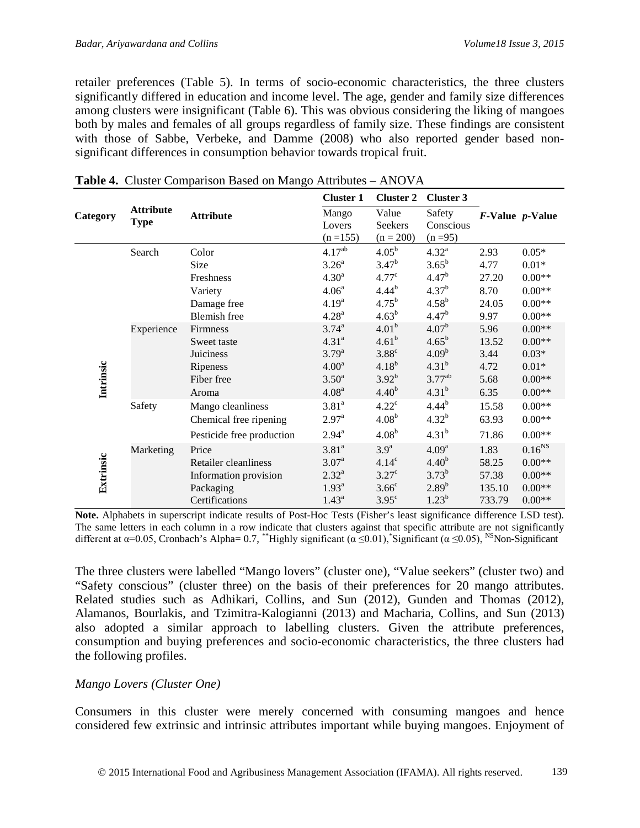retailer preferences (Table 5). In terms of socio-economic characteristics, the three clusters significantly differed in education and income level. The age, gender and family size differences among clusters were insignificant (Table 6). This was obvious considering the liking of mangoes both by males and females of all groups regardless of family size. These findings are consistent with those of Sabbe, Verbeke, and Damme (2008) who also reported gender based nonsignificant differences in consumption behavior towards tropical fruit.

|           |                                 |                           | <b>Cluster 1</b>               | <b>Cluster 2</b>                | <b>Cluster 3</b>                  |                         |             |
|-----------|---------------------------------|---------------------------|--------------------------------|---------------------------------|-----------------------------------|-------------------------|-------------|
| Category  | <b>Attribute</b><br><b>Type</b> | <b>Attribute</b>          | Mango<br>Lovers<br>$(n = 155)$ | Value<br>Seekers<br>$(n = 200)$ | Safety<br>Conscious<br>$(n = 95)$ | F-Value <i>p</i> -Value |             |
|           | Search                          | Color                     | $4.17^{ab}$                    | $4.05^{\rm b}$                  | $4.32^{a}$                        | 2.93                    | $0.05*$     |
|           |                                 | Size                      | 3.26 <sup>a</sup>              | $3.47^{b}$                      | $3.65^{b}$                        | 4.77                    | $0.01*$     |
|           |                                 | Freshness                 | 4.30 <sup>a</sup>              | 4.77 <sup>c</sup>               | 4.47 <sup>b</sup>                 | 27.20                   | $0.00**$    |
|           |                                 | Variety                   | 4.06 <sup>a</sup>              | $4.44^{b}$                      | $4.37^{b}$                        | 8.70                    | $0.00**$    |
|           |                                 | Damage free               | 4.19 <sup>a</sup>              | $4.75^{b}$                      | $4.58^{b}$                        | 24.05                   | $0.00**$    |
|           |                                 | <b>Blemish</b> free       | 4.28 <sup>a</sup>              | $4.63^{b}$                      | 4.47 <sup>b</sup>                 | 9.97                    | $0.00**$    |
|           | Experience                      | <b>Firmness</b>           | $3.74^{a}$                     | 4.01 <sup>b</sup>               | 4.07 <sup>b</sup>                 | 5.96                    | $0.00**$    |
|           |                                 | Sweet taste               | 4.31 <sup>a</sup>              | $4.61^{b}$                      | $4.65^{b}$                        | 13.52                   | $0.00**$    |
|           |                                 | <b>Juiciness</b>          | $3.79^{a}$                     | $3.88^\circ$                    | 4.09 <sup>b</sup>                 | 3.44                    | $0.03*$     |
|           |                                 | Ripeness                  | 4.00 <sup>a</sup>              | $4.18^{b}$                      | $4.31^{b}$                        | 4.72                    | $0.01*$     |
| Intrinsic |                                 | Fiber free                | 3.50 <sup>a</sup>              | $3.92^{b}$                      | $3.77^{ab}$                       | 5.68                    | $0.00**$    |
|           |                                 | Aroma                     | 4.08 <sup>a</sup>              | $4.40^{b}$                      | $4.31^{b}$                        | 6.35                    | $0.00**$    |
|           | Safety                          | Mango cleanliness         | 3.81 <sup>a</sup>              | $4.22^{\circ}$                  | $4.44^{b}$                        | 15.58                   | $0.00**$    |
|           |                                 | Chemical free ripening    | 2.97 <sup>a</sup>              | $4.08^{b}$                      | $4.32^{b}$                        | 63.93                   | $0.00**$    |
|           |                                 | Pesticide free production | $2.94^{\rm a}$                 | $4.08^{b}$                      | $4.31^{b}$                        | 71.86                   | $0.00**$    |
|           | Marketing                       | Price                     | 3.81 <sup>a</sup>              | 3.9 <sup>a</sup>                | 4.09 <sup>a</sup>                 | 1.83                    | $0.16^{NS}$ |
| Extrinsic |                                 | Retailer cleanliness      | 3.07 <sup>a</sup>              | 4.14 <sup>c</sup>               | 4.40 <sup>b</sup>                 | 58.25                   | $0.00**$    |
|           |                                 | Information provision     | $2.32^{a}$                     | $3.27^{\circ}$                  | $3.73^{b}$                        | 57.38                   | $0.00**$    |
|           |                                 | Packaging                 | 1.93 <sup>a</sup>              | 3.66 <sup>c</sup>               | $2.89^{b}$                        | 135.10                  | $0.00**$    |
|           |                                 | Certifications            | $1.43^a$                       | $3.95^{\circ}$                  | $1.23^{b}$                        | 733.79                  | $0.00**$    |

<span id="page-8-0"></span>

|  |  |  |  | Table 4. Cluster Comparison Based on Mango Attributes - ANOVA |
|--|--|--|--|---------------------------------------------------------------|
|--|--|--|--|---------------------------------------------------------------|

**Note.** Alphabets in superscript indicate results of Post-Hoc Tests (Fisher's least significance difference LSD test). The same letters in each column in a row indicate that clusters against that specific attribute are not significantly different at  $\alpha$ =0.05, Cronbach's Alpha= 0.7, \*\*Highly significant ( $\alpha \le 0.01$ ), \*Significant ( $\alpha \le 0.05$ ), <sup>NS</sup>Non-Significant

The three clusters were labelled "Mango lovers" (cluster one), "Value seekers" (cluster two) and "Safety conscious" (cluster three) on the basis of their preferences for 20 mango attributes. Related studies such as Adhikari, Collins, and Sun (2012), Gunden and Thomas (2012), Alamanos, Bourlakis, and Tzimitra-Kalogianni (2013) and Macharia, Collins, and Sun (2013) also adopted a similar approach to labelling clusters. Given the attribute preferences, consumption and buying preferences and socio-economic characteristics, the three clusters had the following profiles.

#### *Mango Lovers (Cluster One)*

Consumers in this cluster were merely concerned with consuming mangoes and hence considered few extrinsic and intrinsic attributes important while buying mangoes. Enjoyment of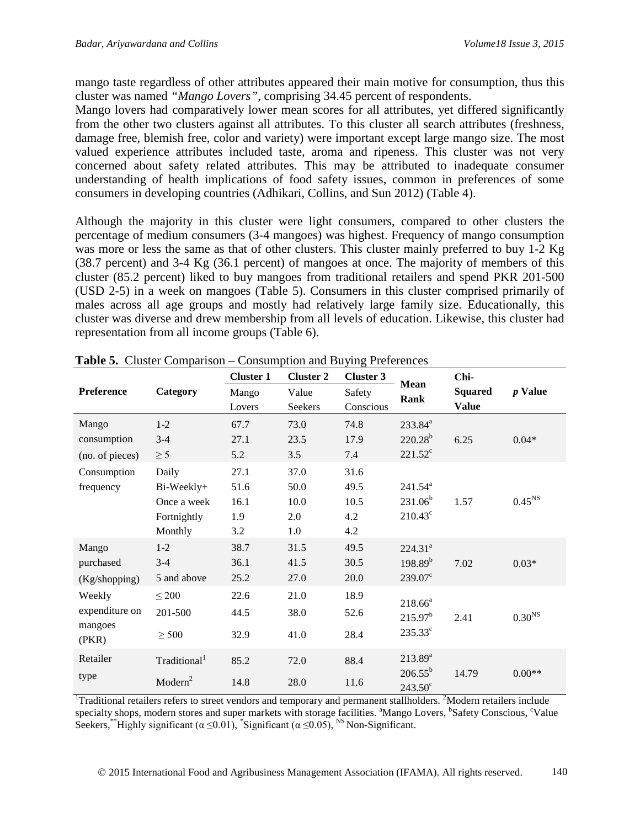mango taste regardless of other attributes appeared their main motive for consumption, thus this cluster was named *"Mango Lovers"*, comprising 34.45 percent of respondents.

Mango lovers had comparatively lower mean scores for all attributes, yet differed significantly from the other two clusters against all attributes. To this cluster all search attributes (freshness, damage free, blemish free, color and variety) were important except large mango size. The most valued experience attributes included taste, aroma and ripeness. This cluster was not very concerned about safety related attributes. This may be attributed to inadequate consumer understanding of health implications of food safety issues, common in preferences of some consumers in developing countries (Adhikari, Collins, and Sun 2012) (Table 4).

Although the majority in this cluster were light consumers, compared to other clusters the percentage of medium consumers (3-4 mangoes) was highest. Frequency of mango consumption was more or less the same as that of other clusters. This cluster mainly preferred to buy 1-2 Kg (38.7 percent) and 3-4 Kg (36.1 percent) of mangoes at once. The majority of members of this cluster (85.2 percent) liked to buy mangoes from traditional retailers and spend PKR 201-500 (USD 2-5) in a week on mangoes (Table 5). Consumers in this cluster comprised primarily of males across all age groups and mostly had relatively large family size. Educationally, this cluster was diverse and drew membership from all levels of education. Likewise, this cluster had representation from all income groups (Table 6).

|                                              |                                                              | <b>Cluster 1</b>                   | <b>Cluster 2</b>                   | <b>Cluster 3</b>                   |                                                         | Chi-                           |                    |
|----------------------------------------------|--------------------------------------------------------------|------------------------------------|------------------------------------|------------------------------------|---------------------------------------------------------|--------------------------------|--------------------|
| Preference                                   | Category                                                     | Mango<br>Lovers                    | Value<br>Seekers                   | Safety<br>Conscious                | <b>Mean</b><br>Rank                                     | <b>Squared</b><br><b>Value</b> | $p$ Value          |
| Mango<br>consumption<br>(no. of pieces)      | $1 - 2$<br>$3 - 4$<br>$\geq$ 5                               | 67.7<br>27.1<br>5.2                | 73.0<br>23.5<br>3.5                | 74.8<br>17.9<br>7.4                | 233.84 <sup>a</sup><br>$220.28^{b}$<br>$221.52^{\circ}$ | 6.25                           | $0.04*$            |
| Consumption<br>frequency                     | Daily<br>Bi-Weekly+<br>Once a week<br>Fortnightly<br>Monthly | 27.1<br>51.6<br>16.1<br>1.9<br>3.2 | 37.0<br>50.0<br>10.0<br>2.0<br>1.0 | 31.6<br>49.5<br>10.5<br>4.2<br>4.2 | $241.54^a$<br>$231.06^b$<br>$210.43^{\circ}$            | 1.57                           | 0.45 <sup>NS</sup> |
| Mango<br>purchased<br>(Kg/shopping)          | $1 - 2$<br>$3 - 4$<br>5 and above                            | 38.7<br>36.1<br>25.2               | 31.5<br>41.5<br>27.0               | 49.5<br>30.5<br>20.0               | 224.31 <sup>a</sup><br>$198.89^{b}$<br>$239.07^{\circ}$ | 7.02                           | $0.03*$            |
| Weekly<br>expenditure on<br>mangoes<br>(PKR) | $\leq 200$<br>201-500<br>$\geq$ 500                          | 22.6<br>44.5<br>32.9               | 21.0<br>38.0<br>41.0               | 18.9<br>52.6<br>28.4               | $218.66^a$<br>215.97 <sup>b</sup><br>$235.33^c$         | 2.41                           | 0.30 <sup>NS</sup> |
| Retailer<br>type                             | Traditional <sup>1</sup><br>Modern <sup>2</sup>              | 85.2<br>14.8                       | 72.0<br>28.0                       | 88.4<br>11.6                       | $213.89^{a}$<br>$206.55^{\rm b}$<br>$243.50^{\circ}$    | 14.79                          | $0.00**$           |

**Table 5.** Cluster Comparison – Consumption and Buying Preferences

<sup>1</sup>Traditional retailers refers to street vendors and temporary and permanent stallholders. <sup>2</sup>Modern retailers include specialty shops, modern stores and super markets with storage facilities. <sup>a</sup>Mango Lovers, <sup>b</sup>Safety Conscious, <sup>c</sup>Value Seekers,\*\*Highly significant  $(\alpha \le 0.01)$ , \*Significant  $(\alpha \le 0.05)$ , <sup>NS</sup> Non-Significant.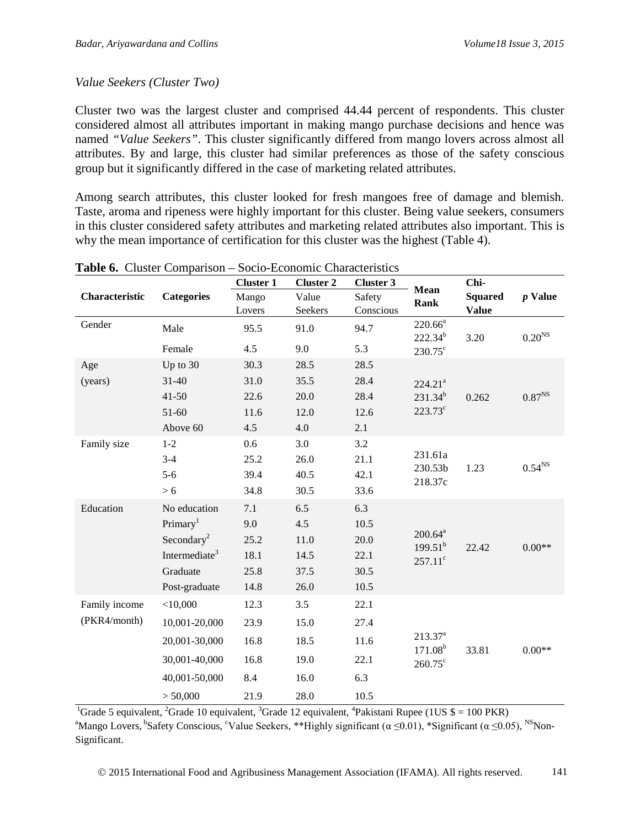#### *Value Seekers (Cluster Two)*

Cluster two was the largest cluster and comprised 44.44 percent of respondents. This cluster considered almost all attributes important in making mango purchase decisions and hence was named *"Value Seekers"*. This cluster significantly differed from mango lovers across almost all attributes. By and large, this cluster had similar preferences as those of the safety conscious group but it significantly differed in the case of marketing related attributes.

Among search attributes, this cluster looked for fresh mangoes free of damage and blemish. Taste, aroma and ripeness were highly important for this cluster. Being value seekers, consumers in this cluster considered safety attributes and marketing related attributes also important. This is why the mean importance of certification for this cluster was the highest (Table 4).

|                |                           | <b>Cluster 1</b> | <b>Cluster 2</b> | <b>Cluster 3</b> | Mean                         | Chi-<br><b>Squared</b> | $p$ Value          |
|----------------|---------------------------|------------------|------------------|------------------|------------------------------|------------------------|--------------------|
| Characteristic | <b>Categories</b>         | Mango            | Value            | Safety           | <b>Rank</b>                  |                        |                    |
|                |                           | Lovers           | Seekers          | Conscious        |                              | <b>Value</b>           |                    |
| Gender         | Male                      | 95.5             | 91.0             | 94.7             | $220.66^a$<br>$222.34^{b}$   | 3.20                   | 0.20 <sup>NS</sup> |
|                | Female                    | 4.5              | 9.0              | 5.3              | $230.75^{\circ}$             |                        |                    |
| Age            | Up to 30                  | 30.3             | 28.5             | 28.5             |                              |                        |                    |
| (years)        | $31 - 40$                 | 31.0             | 35.5             | 28.4             | 224.21 <sup>a</sup>          |                        |                    |
|                | $41 - 50$                 | 22.6             | 20.0             | 28.4             | $231.34^{b}$                 | 0.262                  | 0.87 <sup>NS</sup> |
|                | 51-60                     | 11.6             | 12.0             | 12.6             | $223.73^{\circ}$             |                        |                    |
|                | Above 60                  | 4.5              | 4.0              | 2.1              |                              |                        |                    |
| Family size    | $1 - 2$                   | 0.6              | 3.0              | 3.2              |                              |                        |                    |
|                | $3-4$                     | 25.2             | 26.0             | 21.1             | 231.61a                      |                        | 0.54 <sup>NS</sup> |
|                | $5 - 6$                   | 39.4             | 40.5             | 42.1             | 230.53b<br>218.37c           | 1.23                   |                    |
|                | > 6                       | 34.8             | 30.5             | 33.6             |                              |                        |                    |
| Education      | No education              | 7.1              | 6.5              | 6.3              |                              |                        |                    |
|                | Primary <sup>1</sup>      | 9.0              | 4.5              | 10.5             |                              |                        |                    |
|                | Secondary <sup>2</sup>    | 25.2             | 11.0             | 20.0             | $200.64^a$<br>$199.51^{b}$   |                        | $0.00**$           |
|                | Intermediate <sup>3</sup> | 18.1             | 14.5             | 22.1             | $257.11^{\circ}$             | 22.42                  |                    |
|                | Graduate                  | 25.8             | 37.5             | 30.5             |                              |                        |                    |
|                | Post-graduate             | 14.8             | 26.0             | 10.5             |                              |                        |                    |
| Family income  | $<$ 10,000                | 12.3             | 3.5              | 22.1             |                              |                        |                    |
| (PKR4/month)   | 10,001-20,000             | 23.9             | 15.0             | 27.4             |                              | 33.81                  | $0.00**$           |
|                | 20,001-30,000             | 16.8             | 18.5             | 11.6             | $213.37^{a}$<br>$171.08^{b}$ |                        |                    |
|                | 30,001-40,000             | 16.8             | 19.0             | 22.1             | $260.75^{\circ}$             |                        |                    |
|                | 40,001-50,000             | 8.4              | 16.0             | 6.3              |                              |                        |                    |
|                | > 50,000                  | 21.9             | 28.0             | 10.5             |                              |                        |                    |

<sup>1</sup>Grade 5 equivalent, <sup>2</sup>Grade 10 equivalent, <sup>3</sup>Grade 12 equivalent, <sup>4</sup>Pakistani Rupee (1US \$ = 100 PKR) <sup>a</sup>Mango Lovers, <sup>b</sup>Safety Conscious, <sup>c</sup>Value Seekers, \*\*Highly significant ( $\alpha \le 0.01$ ), \*Significant ( $\alpha \le 0.05$ ), <sup>NS</sup>Non-Significant.

2015 International Food and Agribusiness Management Association (IFAMA). All rights reserved. 141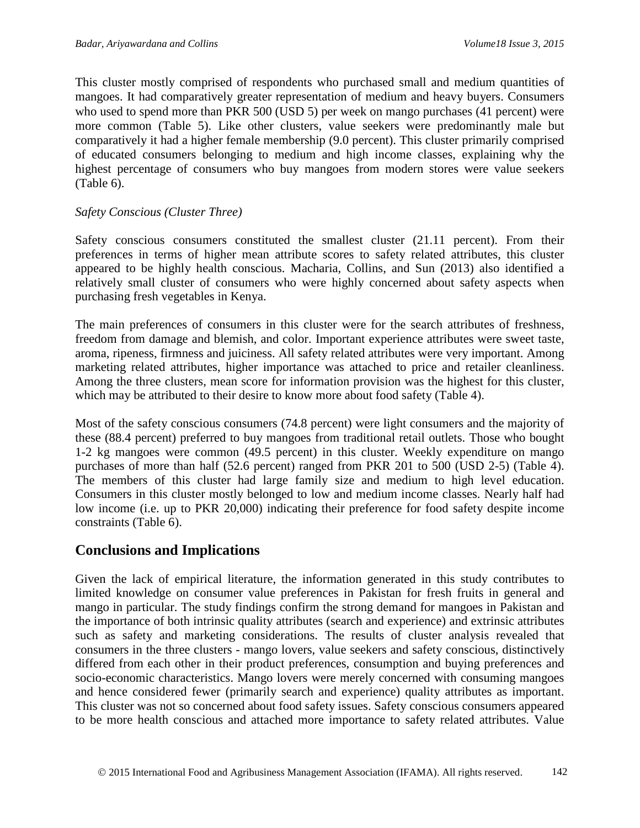This cluster mostly comprised of respondents who purchased small and medium quantities of mangoes. It had comparatively greater representation of medium and heavy buyers. Consumers who used to spend more than PKR 500 (USD 5) per week on mango purchases (41 percent) were more common (Table 5). Like other clusters, value seekers were predominantly male but comparatively it had a higher female membership (9.0 percent). This cluster primarily comprised of educated consumers belonging to medium and high income classes, explaining why the highest percentage of consumers who buy mangoes from modern stores were value seekers (Table 6).

#### *Safety Conscious (Cluster Three)*

Safety conscious consumers constituted the smallest cluster (21.11 percent). From their preferences in terms of higher mean attribute scores to safety related attributes, this cluster appeared to be highly health conscious. Macharia, Collins, and Sun (2013) also identified a relatively small cluster of consumers who were highly concerned about safety aspects when purchasing fresh vegetables in Kenya.

The main preferences of consumers in this cluster were for the search attributes of freshness, freedom from damage and blemish, and color. Important experience attributes were sweet taste, aroma, ripeness, firmness and juiciness. All safety related attributes were very important. Among marketing related attributes, higher importance was attached to price and retailer cleanliness. Among the three clusters, mean score for information provision was the highest for this cluster, which may be attributed to their desire to know more about food safety (Table 4).

Most of the safety conscious consumers (74.8 percent) were light consumers and the majority of these (88.4 percent) preferred to buy mangoes from traditional retail outlets. Those who bought 1-2 kg mangoes were common (49.5 percent) in this cluster. Weekly expenditure on mango purchases of more than half (52.6 percent) ranged from PKR 201 to 500 (USD 2-5) [\(Table 4\)](#page-8-0). The members of this cluster had large family size and medium to high level education. Consumers in this cluster mostly belonged to low and medium income classes. Nearly half had low income (i.e. up to PKR 20,000) indicating their preference for food safety despite income constraints (Table 6).

### **Conclusions and Implications**

Given the lack of empirical literature, the information generated in this study contributes to limited knowledge on consumer value preferences in Pakistan for fresh fruits in general and mango in particular. The study findings confirm the strong demand for mangoes in Pakistan and the importance of both intrinsic quality attributes (search and experience) and extrinsic attributes such as safety and marketing considerations. The results of cluster analysis revealed that consumers in the three clusters - mango lovers, value seekers and safety conscious, distinctively differed from each other in their product preferences, consumption and buying preferences and socio-economic characteristics. Mango lovers were merely concerned with consuming mangoes and hence considered fewer (primarily search and experience) quality attributes as important. This cluster was not so concerned about food safety issues. Safety conscious consumers appeared to be more health conscious and attached more importance to safety related attributes. Value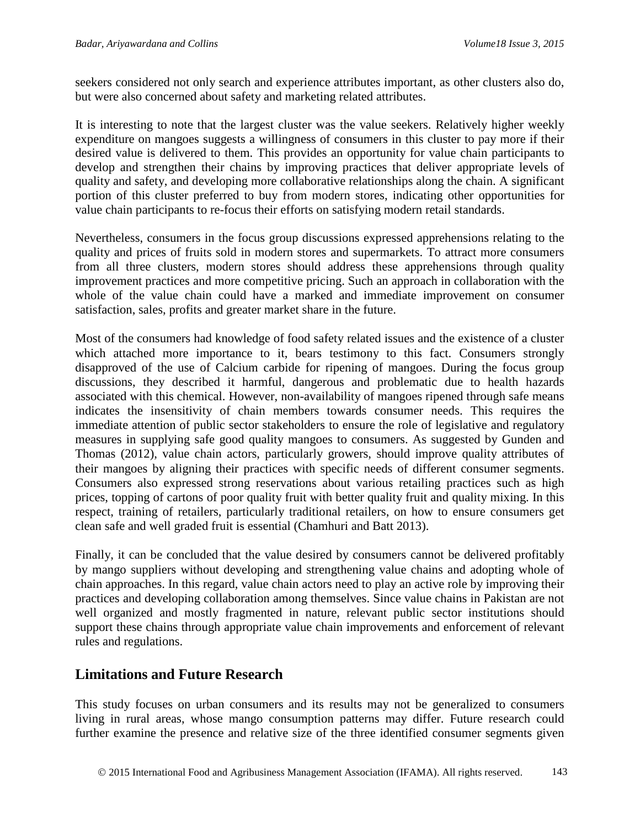seekers considered not only search and experience attributes important, as other clusters also do, but were also concerned about safety and marketing related attributes.

It is interesting to note that the largest cluster was the value seekers. Relatively higher weekly expenditure on mangoes suggests a willingness of consumers in this cluster to pay more if their desired value is delivered to them. This provides an opportunity for value chain participants to develop and strengthen their chains by improving practices that deliver appropriate levels of quality and safety, and developing more collaborative relationships along the chain. A significant portion of this cluster preferred to buy from modern stores, indicating other opportunities for value chain participants to re-focus their efforts on satisfying modern retail standards.

Nevertheless, consumers in the focus group discussions expressed apprehensions relating to the quality and prices of fruits sold in modern stores and supermarkets. To attract more consumers from all three clusters, modern stores should address these apprehensions through quality improvement practices and more competitive pricing. Such an approach in collaboration with the whole of the value chain could have a marked and immediate improvement on consumer satisfaction, sales, profits and greater market share in the future.

Most of the consumers had knowledge of food safety related issues and the existence of a cluster which attached more importance to it, bears testimony to this fact. Consumers strongly disapproved of the use of Calcium carbide for ripening of mangoes. During the focus group discussions, they described it harmful, dangerous and problematic due to health hazards associated with this chemical. However, non-availability of mangoes ripened through safe means indicates the insensitivity of chain members towards consumer needs. This requires the immediate attention of public sector stakeholders to ensure the role of legislative and regulatory measures in supplying safe good quality mangoes to consumers. As suggested by Gunden and Thomas (2012), value chain actors, particularly growers, should improve quality attributes of their mangoes by aligning their practices with specific needs of different consumer segments. Consumers also expressed strong reservations about various retailing practices such as high prices, topping of cartons of poor quality fruit with better quality fruit and quality mixing. In this respect, training of retailers, particularly traditional retailers, on how to ensure consumers get clean safe and well graded fruit is essential (Chamhuri and Batt 2013).

Finally, it can be concluded that the value desired by consumers cannot be delivered profitably by mango suppliers without developing and strengthening value chains and adopting whole of chain approaches. In this regard, value chain actors need to play an active role by improving their practices and developing collaboration among themselves. Since value chains in Pakistan are not well organized and mostly fragmented in nature, relevant public sector institutions should support these chains through appropriate value chain improvements and enforcement of relevant rules and regulations.

# **Limitations and Future Research**

This study focuses on urban consumers and its results may not be generalized to consumers living in rural areas, whose mango consumption patterns may differ. Future research could further examine the presence and relative size of the three identified consumer segments given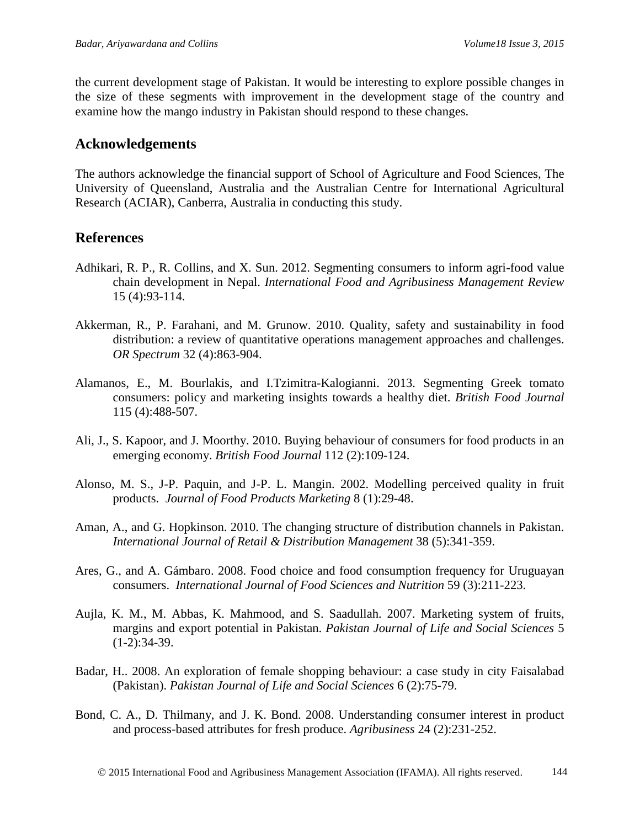the current development stage of Pakistan. It would be interesting to explore possible changes in the size of these segments with improvement in the development stage of the country and examine how the mango industry in Pakistan should respond to these changes.

### **Acknowledgements**

The authors acknowledge the financial support of School of Agriculture and Food Sciences, The University of Queensland, Australia and the Australian Centre for International Agricultural Research (ACIAR), Canberra, Australia in conducting this study.

# **References**

- Adhikari, R. P., R. Collins, and X. Sun. 2012. Segmenting consumers to inform agri-food value chain development in Nepal. *International Food and Agribusiness Management Review* 15 (4):93-114.
- Akkerman, R., P. Farahani, and M. Grunow. 2010. Quality, safety and sustainability in food distribution: a review of quantitative operations management approaches and challenges. *OR Spectrum* 32 (4):863-904.
- Alamanos, E., M. Bourlakis, and I.Tzimitra-Kalogianni. 2013. Segmenting Greek tomato consumers: policy and marketing insights towards a healthy diet. *British Food Journal* 115 (4):488-507.
- Ali, J., S. Kapoor, and J. Moorthy. 2010. Buying behaviour of consumers for food products in an emerging economy. *British Food Journal* 112 (2):109-124.
- Alonso, M. S., J-P. Paquin, and J-P. L. Mangin. 2002. Modelling perceived quality in fruit products. *Journal of Food Products Marketing* 8 (1):29-48.
- Aman, A., and G. Hopkinson. 2010. The changing structure of distribution channels in Pakistan. *International Journal of Retail & Distribution Management* 38 (5):341-359.
- Ares, G., and A. Gámbaro. 2008. Food choice and food consumption frequency for Uruguayan consumers. *International Journal of Food Sciences and Nutrition* 59 (3):211-223.
- Aujla, K. M., M. Abbas, K. Mahmood, and S. Saadullah. 2007. Marketing system of fruits, margins and export potential in Pakistan. *Pakistan Journal of Life and Social Sciences* 5  $(1-2):34-39.$
- Badar, H.. 2008. An exploration of female shopping behaviour: a case study in city Faisalabad (Pakistan). *Pakistan Journal of Life and Social Sciences* 6 (2):75-79.
- Bond, C. A., D. Thilmany, and J. K. Bond. 2008. Understanding consumer interest in product and process-based attributes for fresh produce. *Agribusiness* 24 (2):231-252.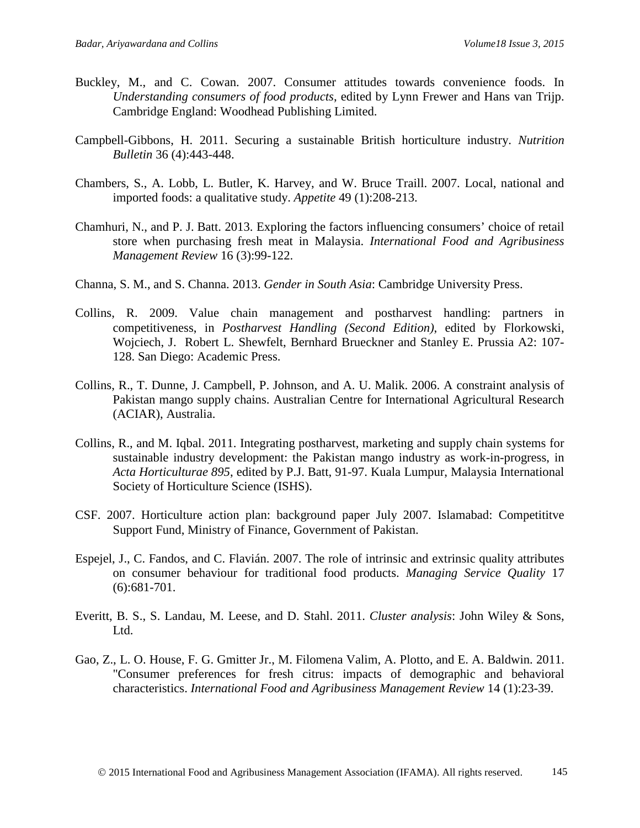- Buckley, M., and C. Cowan. 2007. Consumer attitudes towards convenience foods. In *Understanding consumers of food products*, edited by Lynn Frewer and Hans van Trijp. Cambridge England: Woodhead Publishing Limited.
- Campbell-Gibbons, H. 2011. Securing a sustainable British horticulture industry. *Nutrition Bulletin* 36 (4):443-448.
- Chambers, S., A. Lobb, L. Butler, K. Harvey, and W. Bruce Traill. 2007. Local, national and imported foods: a qualitative study. *Appetite* 49 (1):208-213.
- Chamhuri, N., and P. J. Batt. 2013. Exploring the factors influencing consumers' choice of retail store when purchasing fresh meat in Malaysia. *International Food and Agribusiness Management Review* 16 (3):99-122.
- Channa, S. M., and S. Channa. 2013. *Gender in South Asia*: Cambridge University Press.
- Collins, R. 2009. Value chain management and postharvest handling: partners in competitiveness, in *Postharvest Handling (Second Edition)*, edited by Florkowski, Wojciech, J. Robert L. Shewfelt, Bernhard Brueckner and Stanley E. Prussia A2: 107- 128. San Diego: Academic Press.
- Collins, R., T. Dunne, J. Campbell, P. Johnson, and A. U. Malik. 2006. A constraint analysis of Pakistan mango supply chains. Australian Centre for International Agricultural Research (ACIAR), Australia.
- Collins, R., and M. Iqbal. 2011. Integrating postharvest, marketing and supply chain systems for sustainable industry development: the Pakistan mango industry as work-in-progress, in *Acta Horticulturae 895*, edited by P.J. Batt, 91-97. Kuala Lumpur, Malaysia International Society of Horticulture Science (ISHS).
- CSF. 2007. Horticulture action plan: background paper July 2007. Islamabad: Competititve Support Fund, Ministry of Finance, Government of Pakistan.
- Espejel, J., C. Fandos, and C. Flavián. 2007. The role of intrinsic and extrinsic quality attributes on consumer behaviour for traditional food products. *Managing Service Quality* 17 (6):681-701.
- Everitt, B. S., S. Landau, M. Leese, and D. Stahl. 2011. *Cluster analysis*: John Wiley & Sons, Ltd.
- Gao, Z., L. O. House, F. G. Gmitter Jr., M. Filomena Valim, A. Plotto, and E. A. Baldwin. 2011. "Consumer preferences for fresh citrus: impacts of demographic and behavioral characteristics. *International Food and Agribusiness Management Review* 14 (1):23-39.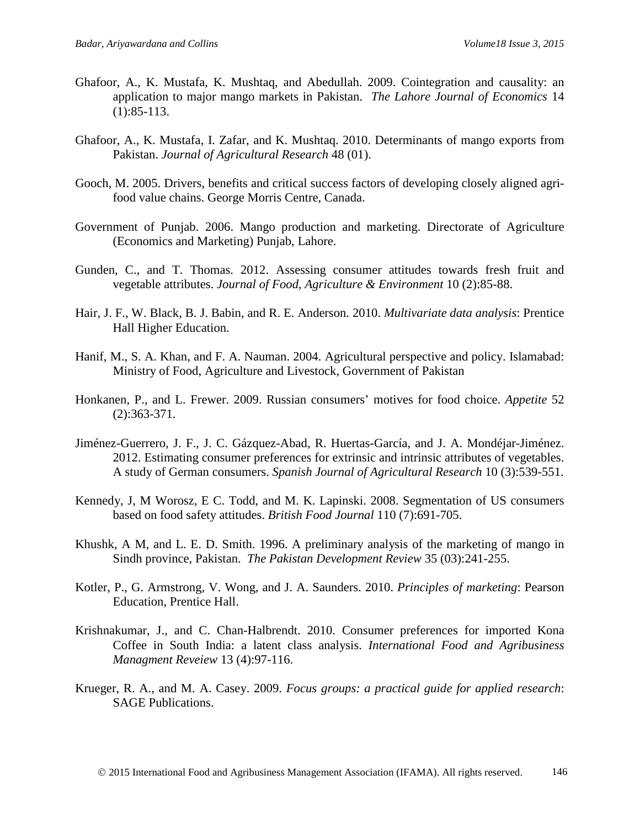- Ghafoor, A., K. Mustafa, K. Mushtaq, and Abedullah. 2009. Cointegration and causality: an application to major mango markets in Pakistan. *The Lahore Journal of Economics* 14 (1):85-113.
- Ghafoor, A., K. Mustafa, I. Zafar, and K. Mushtaq. 2010. Determinants of mango exports from Pakistan. *Journal of Agricultural Research* 48 (01).
- Gooch, M. 2005. Drivers, benefits and critical success factors of developing closely aligned agrifood value chains. George Morris Centre, Canada.
- Government of Punjab. 2006. Mango production and marketing. Directorate of Agriculture (Economics and Marketing) Punjab, Lahore.
- Gunden, C., and T. Thomas. 2012. Assessing consumer attitudes towards fresh fruit and vegetable attributes. *Journal of Food, Agriculture & Environment* 10 (2):85-88.
- Hair, J. F., W. Black, B. J. Babin, and R. E. Anderson. 2010. *Multivariate data analysis*: Prentice Hall Higher Education.
- Hanif, M., S. A. Khan, and F. A. Nauman. 2004. Agricultural perspective and policy. Islamabad: Ministry of Food, Agriculture and Livestock, Government of Pakistan
- Honkanen, P., and L. Frewer. 2009. Russian consumers' motives for food choice. *Appetite* 52 (2):363-371.
- Jiménez-Guerrero, J. F., J. C. Gázquez-Abad, R. Huertas-García, and J. A. Mondéjar-Jiménez. 2012. Estimating consumer preferences for extrinsic and intrinsic attributes of vegetables. A study of German consumers. *Spanish Journal of Agricultural Research* 10 (3):539-551.
- Kennedy, J, M Worosz, E C. Todd, and M. K. Lapinski. 2008. Segmentation of US consumers based on food safety attitudes. *British Food Journal* 110 (7):691-705.
- Khushk, A M, and L. E. D. Smith. 1996. A preliminary analysis of the marketing of mango in Sindh province, Pakistan. *The Pakistan Development Review* 35 (03):241-255.
- Kotler, P., G. Armstrong, V. Wong, and J. A. Saunders. 2010. *Principles of marketing*: Pearson Education, Prentice Hall.
- Krishnakumar, J., and C. Chan-Halbrendt. 2010. Consumer preferences for imported Kona Coffee in South India: a latent class analysis. *International Food and Agribusiness Managment Reveiew* 13 (4):97-116.
- Krueger, R. A., and M. A. Casey. 2009. *Focus groups: a practical guide for applied research*: SAGE Publications.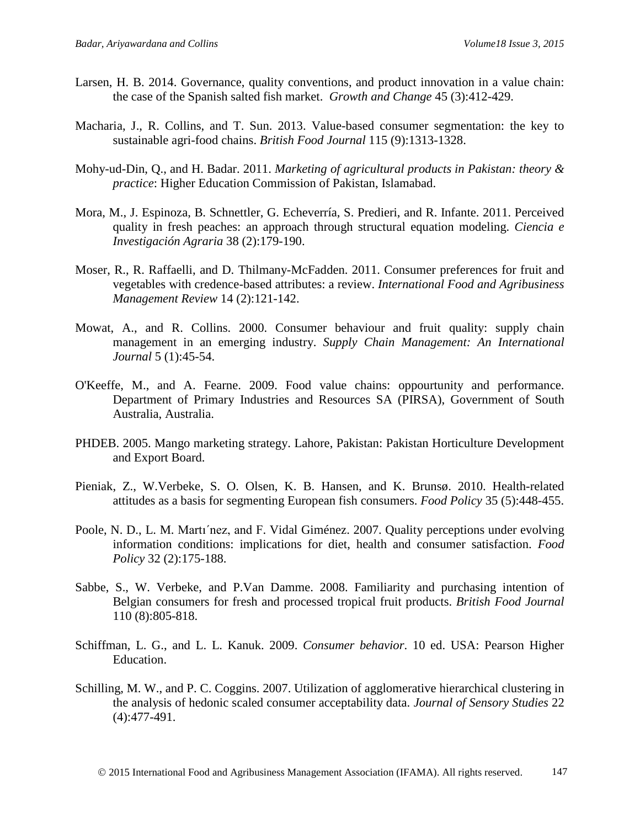- Larsen, H. B. 2014. Governance, quality conventions, and product innovation in a value chain: the case of the Spanish salted fish market. *Growth and Change* 45 (3):412-429.
- Macharia, J., R. Collins, and T. Sun. 2013. Value-based consumer segmentation: the key to sustainable agri-food chains. *British Food Journal* 115 (9):1313-1328.
- Mohy-ud-Din, Q., and H. Badar. 2011. *Marketing of agricultural products in Pakistan: theory & practice*: Higher Education Commission of Pakistan, Islamabad.
- Mora, M., J. Espinoza, B. Schnettler, G. Echeverría, S. Predieri, and R. Infante. 2011. Perceived quality in fresh peaches: an approach through structural equation modeling. *Ciencia e Investigación Agraria* 38 (2):179-190.
- Moser, R., R. Raffaelli, and D. Thilmany-McFadden. 2011. Consumer preferences for fruit and vegetables with credence-based attributes: a review. *International Food and Agribusiness Management Review* 14 (2):121-142.
- Mowat, A., and R. Collins. 2000. Consumer behaviour and fruit quality: supply chain management in an emerging industry. *Supply Chain Management: An International Journal* 5 (1):45-54.
- O'Keeffe, M., and A. Fearne. 2009. Food value chains: oppourtunity and performance. Department of Primary Industries and Resources SA (PIRSA), Government of South Australia, Australia.
- PHDEB. 2005. Mango marketing strategy. Lahore, Pakistan: Pakistan Horticulture Development and Export Board.
- Pieniak, Z., W.Verbeke, S. O. Olsen, K. B. Hansen, and K. Brunsø. 2010. Health-related attitudes as a basis for segmenting European fish consumers. *Food Policy* 35 (5):448-455.
- Poole, N. D., L. M. Martı´nez, and F. Vidal Giménez. 2007. Quality perceptions under evolving information conditions: implications for diet, health and consumer satisfaction. *Food Policy* 32 (2):175-188.
- Sabbe, S., W. Verbeke, and P.Van Damme. 2008. Familiarity and purchasing intention of Belgian consumers for fresh and processed tropical fruit products. *British Food Journal* 110 (8):805-818.
- Schiffman, L. G., and L. L. Kanuk. 2009. *Consumer behavior*. 10 ed. USA: Pearson Higher Education.
- Schilling, M. W., and P. C. Coggins. 2007. Utilization of agglomerative hierarchical clustering in the analysis of hedonic scaled consumer acceptability data. *Journal of Sensory Studies* 22 (4):477-491.